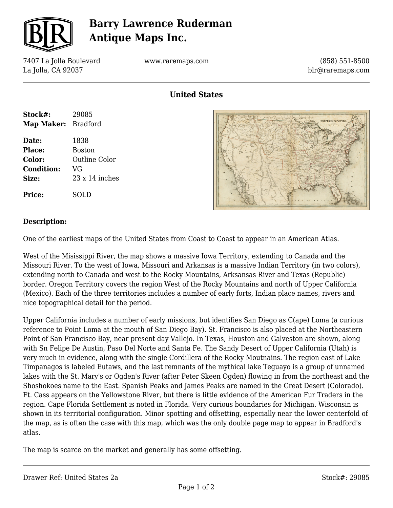

## **Barry Lawrence Ruderman Antique Maps Inc.**

7407 La Jolla Boulevard La Jolla, CA 92037

www.raremaps.com

(858) 551-8500 blr@raremaps.com

**United States**

| Stock#:             | 29085                 |
|---------------------|-----------------------|
| Map Maker: Bradford |                       |
| Date:               | 1838                  |
| <b>Place:</b>       | <b>Boston</b>         |
| <b>Color:</b>       | Outline Color         |
| <b>Condition:</b>   | VG                    |
| Size:               | $23 \times 14$ inches |
| <b>Price:</b>       | SOLD                  |



#### **Description:**

One of the earliest maps of the United States from Coast to Coast to appear in an American Atlas.

West of the Misissippi River, the map shows a massive Iowa Territory, extending to Canada and the Missouri River. To the west of Iowa, Missouri and Arkansas is a massive Indian Territory (in two colors), extending north to Canada and west to the Rocky Mountains, Arksansas River and Texas (Republic) border. Oregon Territory covers the region West of the Rocky Mountains and north of Upper California (Mexico). Each of the three territories includes a number of early forts, Indian place names, rivers and nice topographical detail for the period.

Upper California includes a number of early missions, but identifies San Diego as C(ape) Loma (a curious reference to Point Loma at the mouth of San Diego Bay). St. Francisco is also placed at the Northeastern Point of San Francisco Bay, near present day Vallejo. In Texas, Houston and Galveston are shown, along with Sn Felipe De Austin, Paso Del Norte and Santa Fe. The Sandy Desert of Upper California (Utah) is very much in evidence, along with the single Cordillera of the Rocky Moutnains. The region east of Lake Timpanagos is labeled Eutaws, and the last remnants of the mythical lake Teguayo is a group of unnamed lakes with the St. Mary's or Ogden's River (after Peter Skeen Ogden) flowing in from the northeast and the Shoshokoes name to the East. Spanish Peaks and James Peaks are named in the Great Desert (Colorado). Ft. Cass appears on the Yellowstone River, but there is little evidence of the American Fur Traders in the region. Cape Florida Settlement is noted in Florida. Very curious boundaries for Michigan. Wisconsin is shown in its territorial configuration. Minor spotting and offsetting, especially near the lower centerfold of the map, as is often the case with this map, which was the only double page map to appear in Bradford's atlas.

The map is scarce on the market and generally has some offsetting.